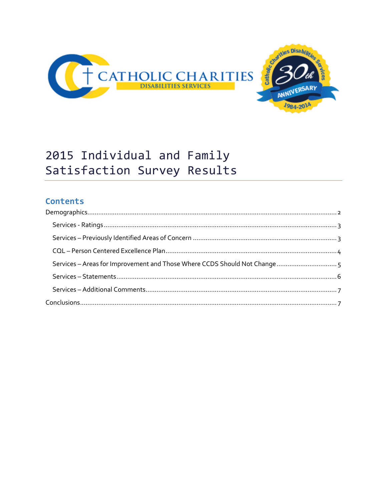

# 2015 Individual and Family Satisfaction Survey Results

# **Contents**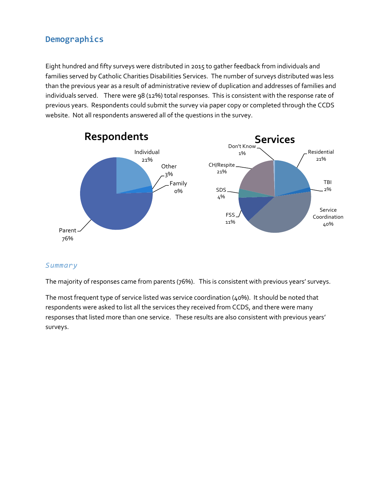# <span id="page-1-0"></span>**Demographics**

Eight hundred and fifty surveys were distributed in 2015 to gather feedback from individuals and families served by Catholic Charities Disabilities Services. The number of surveys distributed was less than the previous year as a result of administrative review of duplication and addresses of families and individuals served. There were 98 (12%) total responses. This is consistent with the response rate of previous years. Respondents could submit the survey via paper copy or completed through the CCDS website. Not all respondents answered all of the questions in the survey.



#### *Summary*

The majority of responses came from parents (76%). This is consistent with previous years' surveys.

The most frequent type of service listed was service coordination (40%). It should be noted that respondents were asked to list all the services they received from CCDS, and there were many responses that listed more than one service. These results are also consistent with previous years' surveys.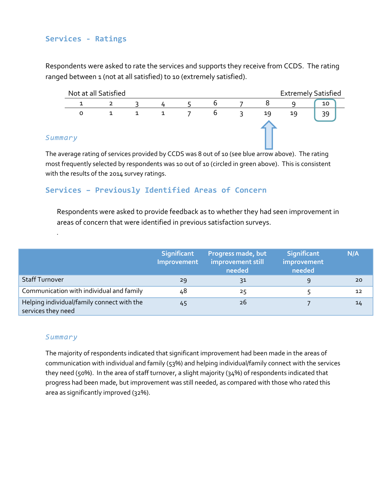## <span id="page-2-0"></span>**Services - Ratings**

Respondents were asked to rate the services and supports they receive from CCDS. The rating ranged between 1 (not at all satisfied) to 10 (extremely satisfied).



#### *Summary*

*.*

The average rating of services provided by CCDS was 8 out of 10 (see blue arrow above). The rating most frequently selected by respondents was 10 out of 10 (circled in green above). This is consistent with the results of the 2014 survey ratings.

## <span id="page-2-1"></span>**Services – Previously Identified Areas of Concern**

Respondents were asked to provide feedback as to whether they had seen improvement in areas of concern that were identified in previous satisfaction surveys.

|                                                                  | Significant<br>Improvement | Progress made, but<br>improvement still<br>needed | <b>Significant</b><br>improvement<br>needed | N/A |
|------------------------------------------------------------------|----------------------------|---------------------------------------------------|---------------------------------------------|-----|
| Staff Turnover                                                   | 29                         | 31                                                |                                             | 20  |
| Communication with individual and family                         | 48                         | 25                                                |                                             | 12  |
| Helping individual/family connect with the<br>services they need | 45                         | 26                                                |                                             | 14  |

#### *Summary*

The majority of respondents indicated that significant improvement had been made in the areas of communication with individual and family (53%) and helping individual/family connect with the services they need (50%). In the area of staff turnover, a slight majority (34%) of respondents indicated that progress had been made, but improvement was still needed, as compared with those who rated this area as significantly improved (32%).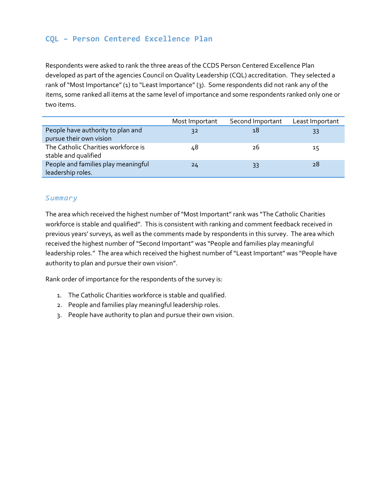## <span id="page-3-0"></span>**CQL – Person Centered Excellence Plan**

Respondents were asked to rank the three areas of the CCDS Person Centered Excellence Plan developed as part of the agencies Council on Quality Leadership (CQL) accreditation. They selected a rank of "Most Importance"(1) to "Least Importance"(3). Some respondents did not rank any of the items, some ranked all items at the same level of importance and some respondents ranked only one or two items.

|                                     | Most Important | Second Important | Least Important |
|-------------------------------------|----------------|------------------|-----------------|
| People have authority to plan and   | 32             | 18               | 33              |
| pursue their own vision             |                |                  |                 |
| The Catholic Charities workforce is | 48             | 26               | 15              |
| stable and qualified                |                |                  |                 |
| People and families play meaningful | 24             | 33               | 28              |
| leadership roles.                   |                |                  |                 |

#### *Summary*

The area which received the highest number of "Most Important" rank was "The Catholic Charities workforce is stable and qualified". This is consistent with ranking and comment feedback received in previous years' surveys, as well as the comments made by respondents in this survey. The area which received the highest number of "Second Important" was "People and families play meaningful leadership roles." The area which received the highest number of "Least Important" was "People have authority to plan and pursue their own vision".

Rank order of importance for the respondents of the survey is:

- 1. The Catholic Charities workforce is stable and qualified.
- 2. People and families play meaningful leadership roles.
- 3. People have authority to plan and pursue their own vision.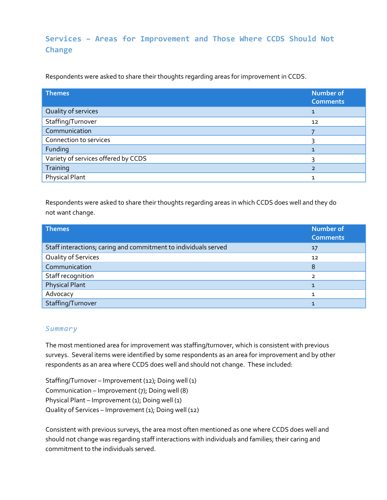# <span id="page-4-0"></span>**Services – Areas for Improvement and Those Where CCDS Should Not Change**

Respondents were asked to share their thoughts regarding areas for improvement in CCDS.

| <b>Themes</b>                       | <b>Number of</b><br><b>Comments</b> |
|-------------------------------------|-------------------------------------|
| Quality of services                 | 1                                   |
| Staffing/Turnover                   | 12                                  |
| Communication                       |                                     |
| Connection to services              |                                     |
| Funding                             |                                     |
| Variety of services offered by CCDS |                                     |
| Training                            | $\overline{2}$                      |
| <b>Physical Plant</b>               | 1                                   |

Respondents were asked to share their thoughts regarding areas in which CCDS does well and they do not want change.

| <b>Themes</b>                                                   | <b>Number of</b><br><b>Comments</b> |
|-----------------------------------------------------------------|-------------------------------------|
| Staff interactions; caring and commitment to individuals served | 17                                  |
| Quality of Services                                             | 12                                  |
| Communication                                                   | 8                                   |
| Staff recognition                                               | ว                                   |
| <b>Physical Plant</b>                                           |                                     |
| Advocacy                                                        |                                     |
| Staffing/Turnover                                               |                                     |

#### *Summary*

The most mentioned area for improvement was staffing/turnover, which is consistent with previous surveys. Several items were identified by some respondents as an area for improvement and by other respondents as an area where CCDS does well and should not change. These included:

Staffing/Turnover – Improvement (12); Doing well (1) Communication – Improvement (7); Doing well (8) Physical Plant – Improvement (1); Doing well (1) Quality of Services – Improvement (1); Doing well (12)

Consistent with previous surveys, the area most often mentioned as one where CCDS does well and should not change was regarding staff interactions with individuals and families; their caring and commitment to the individuals served.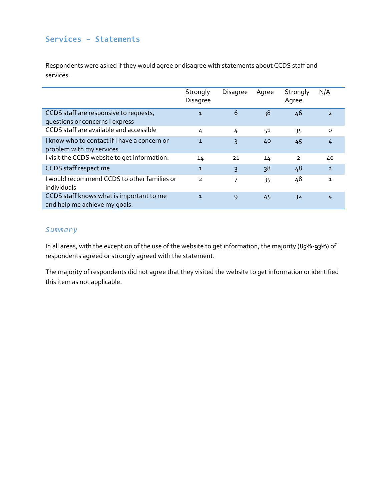#### <span id="page-5-0"></span>**Services – Statements**

Respondents were asked if they would agree or disagree with statements about CCDS staff and services.

|                                                                           | Strongly<br>Disagree | <b>Disagree</b> | Agree | Strongly<br>Agree | N/A            |
|---------------------------------------------------------------------------|----------------------|-----------------|-------|-------------------|----------------|
| CCDS staff are responsive to requests,<br>questions or concerns I express | $\mathbf{1}$         | 6               | 38    | 46                | $\overline{2}$ |
| CCDS staff are available and accessible                                   | 4                    | 4               | 51    | 35                | $\Omega$       |
| I know who to contact if I have a concern or<br>problem with my services  | $\mathbf{1}$         | 3               | 40    | 45                | 4              |
| I visit the CCDS website to get information.                              | 14                   | 21              | 14    | $\overline{2}$    | 40             |
| CCDS staff respect me                                                     | $\mathbf{1}$         | $\mathsf{R}$    | 38    | 48                | $\overline{2}$ |
| I would recommend CCDS to other families or<br>individuals                | $\mathcal{P}$        | 7               | 35    | 48                | 1              |
| CCDS staff knows what is important to me<br>and help me achieve my goals. | $\mathbf{1}$         | 9               | 45    | 32                | 4              |

#### *Summary*

In all areas, with the exception of the use of the website to get information, the majority (85%-93%) of respondents agreed or strongly agreed with the statement.

The majority of respondents did not agree that they visited the website to get information or identified this item as not applicable.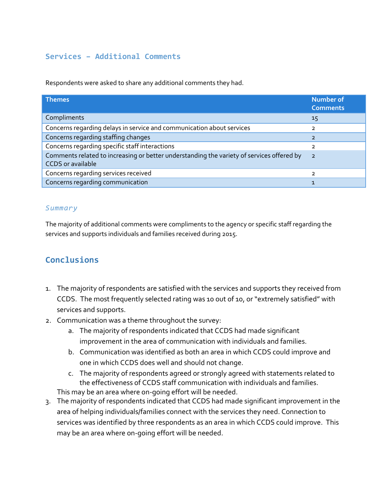## <span id="page-6-0"></span>**Services – Additional Comments**

Respondents were asked to share any additional comments they had.

| <b>Themes</b>                                                                                                         | <b>Number of</b><br><b>Comments</b> |
|-----------------------------------------------------------------------------------------------------------------------|-------------------------------------|
| Compliments                                                                                                           | 15                                  |
| Concerns regarding delays in service and communication about services                                                 | っ                                   |
| Concerns regarding staffing changes                                                                                   | $\overline{2}$                      |
| Concerns regarding specific staff interactions                                                                        |                                     |
| Comments related to increasing or better understanding the variety of services offered by<br><b>CCDS</b> or available | $\overline{2}$                      |
| Concerns regarding services received                                                                                  |                                     |
| Concerns regarding communication                                                                                      |                                     |

#### *Summary*

The majority of additional comments were compliments to the agency or specific staff regarding the services and supports individuals and families received during 2015.

# <span id="page-6-1"></span>**Conclusions**

- 1. The majority of respondents are satisfied with the services and supports they received from CCDS. The most frequently selected rating was 10 out of 10, or "extremely satisfied" with services and supports.
- 2. Communication was a theme throughout the survey:
	- a. The majority of respondents indicated that CCDS had made significant improvement in the area of communication with individuals and families.
	- b. Communication was identified as both an area in which CCDS could improve and one in which CCDS does well and should not change.
	- c. The majority of respondents agreed or strongly agreed with statements related to the effectiveness of CCDS staff communication with individuals and families.

This may be an area where on-going effort will be needed.

3. The majority of respondents indicated that CCDS had made significant improvement in the area of helping individuals/families connect with the services they need. Connection to services was identified by three respondents as an area in which CCDS could improve. This may be an area where on-going effort will be needed.